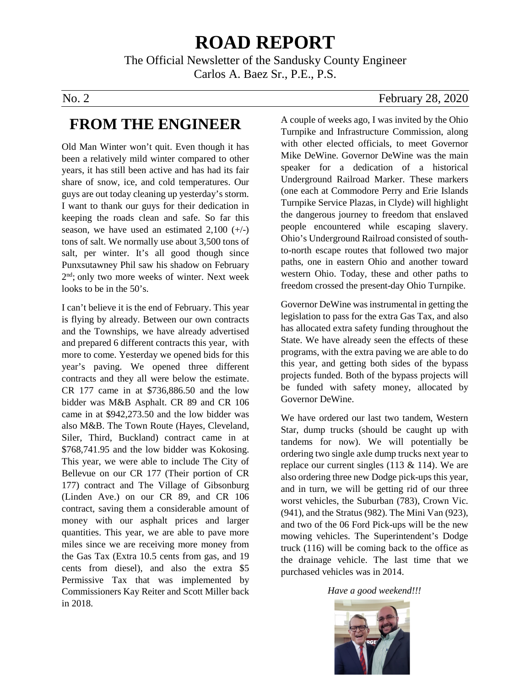# **ROAD REPORT**

The Official Newsletter of the Sandusky County Engineer Carlos A. Baez Sr., P.E., P.S.

### **FROM THE ENGINEER**

Old Man Winter won't quit. Even though it has been a relatively mild winter compared to other years, it has still been active and has had its fair share of snow, ice, and cold temperatures. Our guys are out today cleaning up yesterday's storm. I want to thank our guys for their dedication in keeping the roads clean and safe. So far this season, we have used an estimated  $2,100 (+/-)$ tons of salt. We normally use about 3,500 tons of salt, per winter. It's all good though since Punxsutawney Phil saw his shadow on February 2nd; only two more weeks of winter. Next week looks to be in the 50's.

I can't believe it is the end of February. This year is flying by already. Between our own contracts and the Townships, we have already advertised and prepared 6 different contracts this year, with more to come. Yesterday we opened bids for this year's paving. We opened three different contracts and they all were below the estimate. CR 177 came in at \$736,886.50 and the low bidder was M&B Asphalt. CR 89 and CR 106 came in at \$942,273.50 and the low bidder was also M&B. The Town Route (Hayes, Cleveland, Siler, Third, Buckland) contract came in at \$768,741.95 and the low bidder was Kokosing. This year, we were able to include The City of Bellevue on our CR 177 (Their portion of CR 177) contract and The Village of Gibsonburg (Linden Ave.) on our CR 89, and CR 106 contract, saving them a considerable amount of money with our asphalt prices and larger quantities. This year, we are able to pave more miles since we are receiving more money from the Gas Tax (Extra 10.5 cents from gas, and 19 cents from diesel), and also the extra \$5 Permissive Tax that was implemented by Commissioners Kay Reiter and Scott Miller back in 2018.

#### No. 2 February 28, 2020

A couple of weeks ago, I was invited by the Ohio Turnpike and Infrastructure Commission, along with other elected officials, to meet Governor Mike DeWine. Governor DeWine was the main speaker for a dedication of a historical Underground Railroad Marker. These markers (one each at Commodore Perry and Erie Islands Turnpike Service Plazas, in Clyde) will highlight the dangerous journey to freedom that enslaved people encountered while escaping slavery. Ohio's Underground Railroad consisted of southto-north escape routes that followed two major paths, one in eastern Ohio and another toward western Ohio. Today, these and other paths to freedom crossed the present-day Ohio Turnpike.

Governor DeWine was instrumental in getting the legislation to pass for the extra Gas Tax, and also has allocated extra safety funding throughout the State. We have already seen the effects of these programs, with the extra paving we are able to do this year, and getting both sides of the bypass projects funded. Both of the bypass projects will be funded with safety money, allocated by Governor DeWine.

We have ordered our last two tandem, Western Star, dump trucks (should be caught up with tandems for now). We will potentially be ordering two single axle dump trucks next year to replace our current singles  $(113 \& 114)$ . We are also ordering three new Dodge pick-ups this year, and in turn, we will be getting rid of our three worst vehicles, the Suburban (783), Crown Vic. (941), and the Stratus (982). The Mini Van (923), and two of the 06 Ford Pick-ups will be the new mowing vehicles. The Superintendent's Dodge truck (116) will be coming back to the office as the drainage vehicle. The last time that we purchased vehicles was in 2014.

*Have a good weekend!!!*